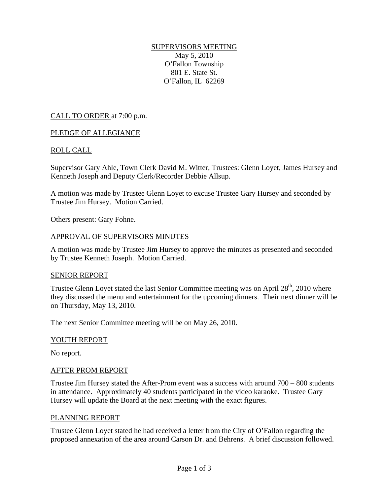# SUPERVISORS MEETING

May 5, 2010 O'Fallon Township 801 E. State St. O'Fallon, IL 62269

# CALL TO ORDER at 7:00 p.m.

# PLEDGE OF ALLEGIANCE

# ROLL CALL

Supervisor Gary Ahle, Town Clerk David M. Witter, Trustees: Glenn Loyet, James Hursey and Kenneth Joseph and Deputy Clerk/Recorder Debbie Allsup.

A motion was made by Trustee Glenn Loyet to excuse Trustee Gary Hursey and seconded by Trustee Jim Hursey. Motion Carried.

Others present: Gary Fohne.

# APPROVAL OF SUPERVISORS MINUTES

A motion was made by Trustee Jim Hursey to approve the minutes as presented and seconded by Trustee Kenneth Joseph. Motion Carried.

#### SENIOR REPORT

Trustee Glenn Loyet stated the last Senior Committee meeting was on April  $28<sup>th</sup>$ , 2010 where they discussed the menu and entertainment for the upcoming dinners. Their next dinner will be on Thursday, May 13, 2010.

The next Senior Committee meeting will be on May 26, 2010.

# YOUTH REPORT

No report.

# AFTER PROM REPORT

Trustee Jim Hursey stated the After-Prom event was a success with around 700 – 800 students in attendance. Approximately 40 students participated in the video karaoke. Trustee Gary Hursey will update the Board at the next meeting with the exact figures.

#### PLANNING REPORT

Trustee Glenn Loyet stated he had received a letter from the City of O'Fallon regarding the proposed annexation of the area around Carson Dr. and Behrens. A brief discussion followed.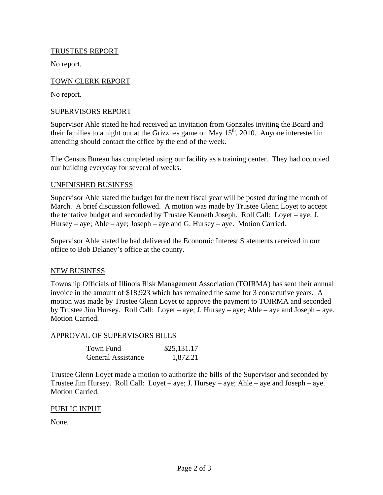# TRUSTEES REPORT

No report.

# TOWN CLERK REPORT

No report.

# SUPERVISORS REPORT

Supervisor Ahle stated he had received an invitation from Gonzales inviting the Board and their families to a night out at the Grizzlies game on May  $15<sup>th</sup>$ , 2010. Anyone interested in attending should contact the office by the end of the week.

The Census Bureau has completed using our facility as a training center. They had occupied our building everyday for several of weeks.

# UNFINISHED BUSINESS

Supervisor Ahle stated the budget for the next fiscal year will be posted during the month of March. A brief discussion followed. A motion was made by Trustee Glenn Loyet to accept the tentative budget and seconded by Trustee Kenneth Joseph. Roll Call: Loyet – aye; J. Hursey – aye; Ahle – aye; Joseph – aye and G. Hursey – aye. Motion Carried.

Supervisor Ahle stated he had delivered the Economic Interest Statements received in our office to Bob Delaney's office at the county.

# NEW BUSINESS

Township Officials of Illinois Risk Management Association (TOIRMA) has sent their annual invoice in the amount of \$18,923 which has remained the same for 3 consecutive years. A motion was made by Trustee Glenn Loyet to approve the payment to TOIRMA and seconded by Trustee Jim Hursey. Roll Call: Loyet – aye; J. Hursey – aye; Ahle – aye and Joseph – aye. Motion Carried.

# APPROVAL OF SUPERVISORS BILLS

| Town Fund                 | \$25,131.17 |
|---------------------------|-------------|
| <b>General Assistance</b> | 1,872.21    |

Trustee Glenn Loyet made a motion to authorize the bills of the Supervisor and seconded by Trustee Jim Hursey. Roll Call: Loyet – aye; J. Hursey – aye; Ahle – aye and Joseph – aye. Motion Carried.

# PUBLIC INPUT

None.